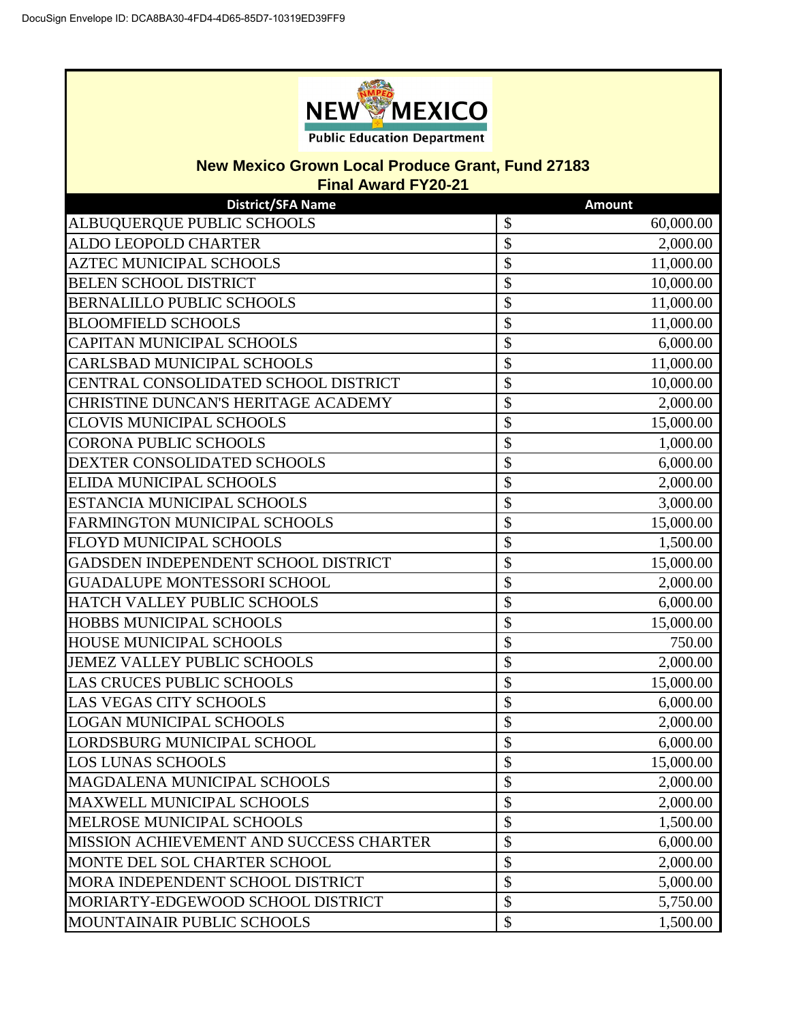

## **New Mexico Grown Local Produce Grant, Fund 27183**

**Final Award FY20-21**

| <b>District/SFA Name</b>                | <b>Amount</b>       |
|-----------------------------------------|---------------------|
| ALBUQUERQUE PUBLIC SCHOOLS              | \$<br>60,000.00     |
| ALDO LEOPOLD CHARTER                    | \$<br>2,000.00      |
| <b>AZTEC MUNICIPAL SCHOOLS</b>          | \$<br>11,000.00     |
| <b>BELEN SCHOOL DISTRICT</b>            | \$<br>10,000.00     |
| <b>BERNALILLO PUBLIC SCHOOLS</b>        | \$<br>11,000.00     |
| <b>BLOOMFIELD SCHOOLS</b>               | \$<br>11,000.00     |
| CAPITAN MUNICIPAL SCHOOLS               | \$<br>6,000.00      |
| CARLSBAD MUNICIPAL SCHOOLS              | \$<br>11,000.00     |
| CENTRAL CONSOLIDATED SCHOOL DISTRICT    | \$<br>10,000.00     |
| CHRISTINE DUNCAN'S HERITAGE ACADEMY     | \$<br>2,000.00      |
| <b>CLOVIS MUNICIPAL SCHOOLS</b>         | \$<br>15,000.00     |
| <b>CORONA PUBLIC SCHOOLS</b>            | \$<br>1,000.00      |
| DEXTER CONSOLIDATED SCHOOLS             | \$<br>6,000.00      |
| ELIDA MUNICIPAL SCHOOLS                 | \$<br>2,000.00      |
| ESTANCIA MUNICIPAL SCHOOLS              | \$<br>3,000.00      |
| <b>FARMINGTON MUNICIPAL SCHOOLS</b>     | \$<br>15,000.00     |
| FLOYD MUNICIPAL SCHOOLS                 | \$<br>1,500.00      |
| GADSDEN INDEPENDENT SCHOOL DISTRICT     | \$<br>15,000.00     |
| <b>GUADALUPE MONTESSORI SCHOOL</b>      | \$<br>2,000.00      |
| HATCH VALLEY PUBLIC SCHOOLS             | \$<br>6,000.00      |
| <b>HOBBS MUNICIPAL SCHOOLS</b>          | \$<br>15,000.00     |
| <b>HOUSE MUNICIPAL SCHOOLS</b>          | \$<br>750.00        |
| JEMEZ VALLEY PUBLIC SCHOOLS             | $\sqrt$<br>2,000.00 |
| <b>LAS CRUCES PUBLIC SCHOOLS</b>        | \$<br>15,000.00     |
| <b>LAS VEGAS CITY SCHOOLS</b>           | \$<br>6,000.00      |
| <b>LOGAN MUNICIPAL SCHOOLS</b>          | $\sqrt$<br>2,000.00 |
| LORDSBURG MUNICIPAL SCHOOL              | \$<br>6,000.00      |
| <b>LOS LUNAS SCHOOLS</b>                | \$<br>15,000.00     |
| MAGDALENA MUNICIPAL SCHOOLS             | \$<br>2,000.00      |
| <b>MAXWELL MUNICIPAL SCHOOLS</b>        | \$<br>2,000.00      |
| MELROSE MUNICIPAL SCHOOLS               | \$<br>1,500.00      |
| MISSION ACHIEVEMENT AND SUCCESS CHARTER | \$<br>6,000.00      |
| MONTE DEL SOL CHARTER SCHOOL            | \$<br>2,000.00      |
| MORA INDEPENDENT SCHOOL DISTRICT        | \$<br>5,000.00      |
| MORIARTY-EDGEWOOD SCHOOL DISTRICT       | \$<br>5,750.00      |
| MOUNTAINAIR PUBLIC SCHOOLS              | \$<br>1,500.00      |